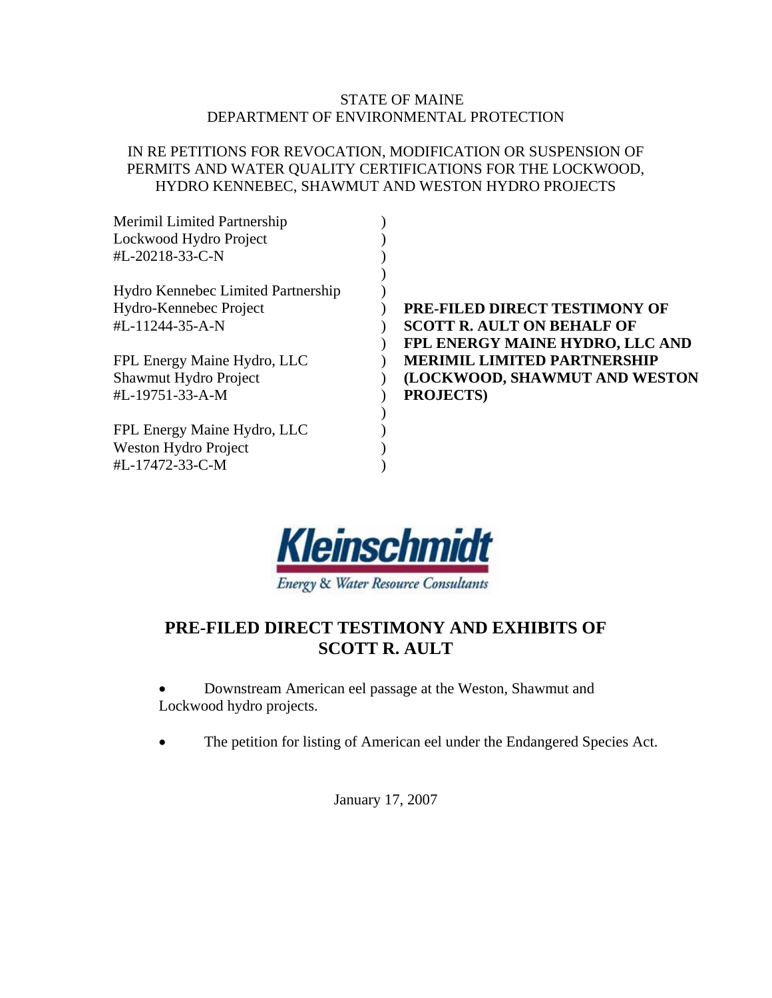### STATE OF MAINE DEPARTMENT OF ENVIRONMENTAL PROTECTION

### IN RE PETITIONS FOR REVOCATION, MODIFICATION OR SUSPENSION OF PERMITS AND WATER QUALITY CERTIFICATIONS FOR THE LOCKWOOD, HYDRO KENNEBEC, SHAWMUT AND WESTON HYDRO PROJECTS

| <b>Merimil Limited Partnership</b>        |                                    |
|-------------------------------------------|------------------------------------|
| Lockwood Hydro Project                    |                                    |
| #L-20218-33-C-N                           |                                    |
|                                           |                                    |
| <b>Hydro Kennebec Limited Partnership</b> |                                    |
| Hydro-Kennebec Project                    | PRE-FILED DIRECT TESTIMONY OF      |
| #L-11244-35-A-N                           | <b>SCOTT R. AULT ON BEHALF OF</b>  |
|                                           | FPL ENERGY MAINE HYDRO, LLC AND    |
| FPL Energy Maine Hydro, LLC               | <b>MERIMIL LIMITED PARTNERSHIP</b> |
| Shawmut Hydro Project                     | (LOCKWOOD, SHAWMUT AND WESTON      |
| #L-19751-33-A-M                           | <b>PROJECTS)</b>                   |
|                                           |                                    |
| FPL Energy Maine Hydro, LLC               |                                    |
| Weston Hydro Project                      |                                    |
| #L-17472-33-C-M                           |                                    |



## **PRE-FILED DIRECT TESTIMONY AND EXHIBITS OF SCOTT R. AULT**

• Downstream American eel passage at the Weston, Shawmut and Lockwood hydro projects.

• The petition for listing of American eel under the Endangered Species Act.

January 17, 2007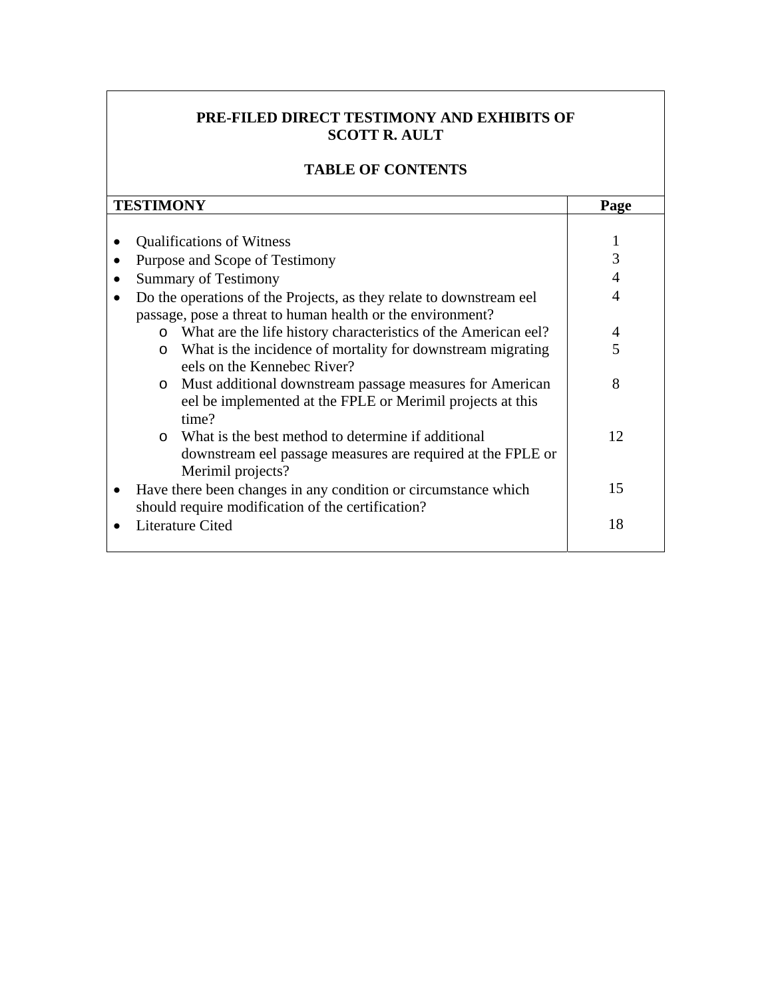## **PRE-FILED DIRECT TESTIMONY AND EXHIBITS OF SCOTT R. AULT**

## **TABLE OF CONTENTS**

| <b>TESTIMONY</b>            |                                                                                                                                          | Page |
|-----------------------------|------------------------------------------------------------------------------------------------------------------------------------------|------|
|                             |                                                                                                                                          |      |
|                             | <b>Qualifications of Witness</b>                                                                                                         | 1    |
|                             | Purpose and Scope of Testimony                                                                                                           | 3    |
| <b>Summary of Testimony</b> |                                                                                                                                          | 4    |
|                             | Do the operations of the Projects, as they relate to downstream eel<br>passage, pose a threat to human health or the environment?        | 4    |
|                             | What are the life history characteristics of the American eel?<br>$\Omega$                                                               | 4    |
|                             | What is the incidence of mortality for downstream migrating<br>$\Omega$<br>eels on the Kennebec River?                                   | 5    |
|                             | o Must additional downstream passage measures for American<br>eel be implemented at the FPLE or Merimil projects at this<br>time?        | 8    |
|                             | o What is the best method to determine if additional<br>downstream eel passage measures are required at the FPLE or<br>Merimil projects? | 12   |
|                             | Have there been changes in any condition or circumstance which<br>should require modification of the certification?                      | 15   |
| <b>Literature Cited</b>     |                                                                                                                                          | 18   |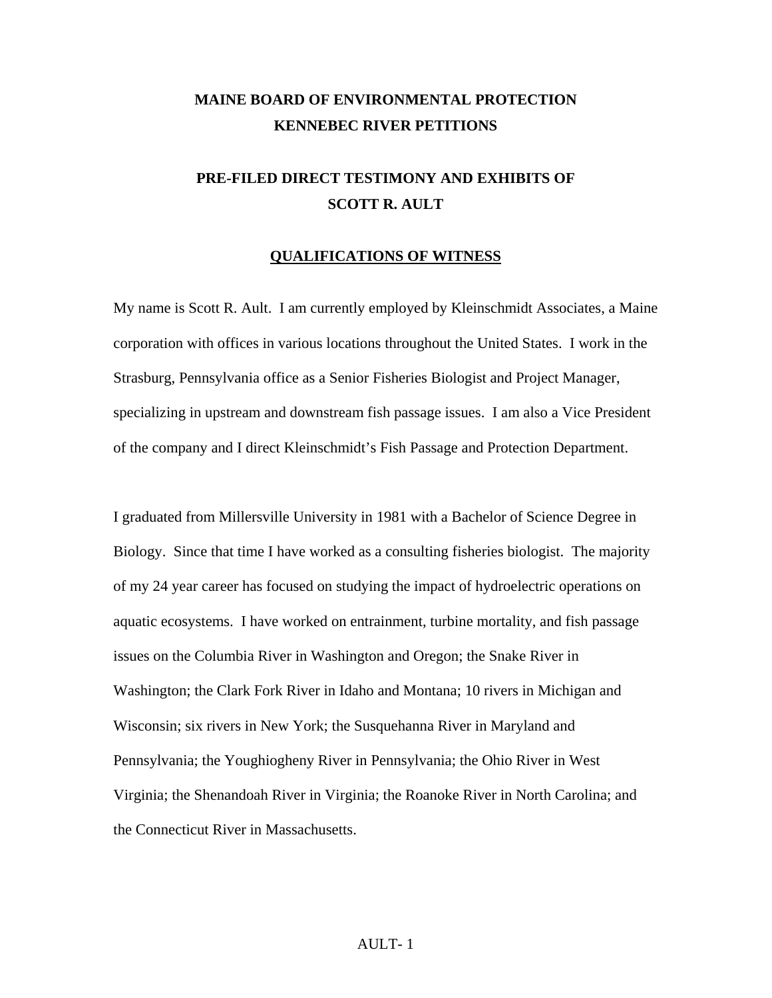## **MAINE BOARD OF ENVIRONMENTAL PROTECTION KENNEBEC RIVER PETITIONS**

## **PRE-FILED DIRECT TESTIMONY AND EXHIBITS OF SCOTT R. AULT**

### **QUALIFICATIONS OF WITNESS**

My name is Scott R. Ault. I am currently employed by Kleinschmidt Associates, a Maine corporation with offices in various locations throughout the United States. I work in the Strasburg, Pennsylvania office as a Senior Fisheries Biologist and Project Manager, specializing in upstream and downstream fish passage issues. I am also a Vice President of the company and I direct Kleinschmidt's Fish Passage and Protection Department.

I graduated from Millersville University in 1981 with a Bachelor of Science Degree in Biology. Since that time I have worked as a consulting fisheries biologist. The majority of my 24 year career has focused on studying the impact of hydroelectric operations on aquatic ecosystems. I have worked on entrainment, turbine mortality, and fish passage issues on the Columbia River in Washington and Oregon; the Snake River in Washington; the Clark Fork River in Idaho and Montana; 10 rivers in Michigan and Wisconsin; six rivers in New York; the Susquehanna River in Maryland and Pennsylvania; the Youghiogheny River in Pennsylvania; the Ohio River in West Virginia; the Shenandoah River in Virginia; the Roanoke River in North Carolina; and the Connecticut River in Massachusetts.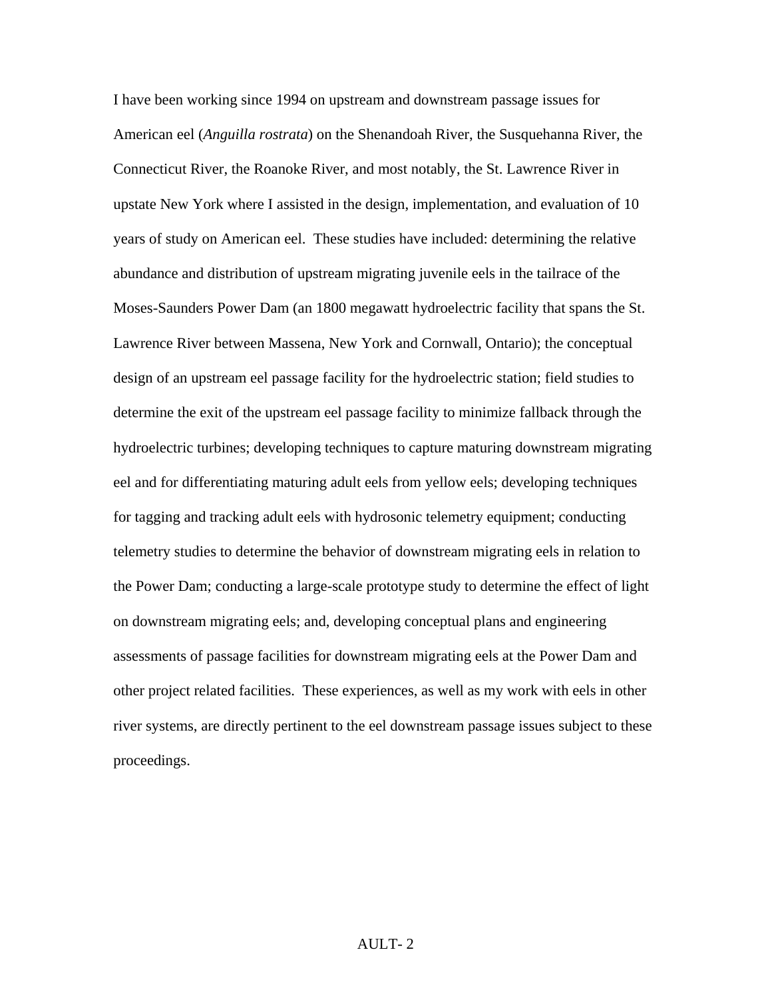I have been working since 1994 on upstream and downstream passage issues for American eel (*Anguilla rostrata*) on the Shenandoah River, the Susquehanna River, the Connecticut River, the Roanoke River, and most notably, the St. Lawrence River in upstate New York where I assisted in the design, implementation, and evaluation of 10 years of study on American eel. These studies have included: determining the relative abundance and distribution of upstream migrating juvenile eels in the tailrace of the Moses-Saunders Power Dam (an 1800 megawatt hydroelectric facility that spans the St. Lawrence River between Massena, New York and Cornwall, Ontario); the conceptual design of an upstream eel passage facility for the hydroelectric station; field studies to determine the exit of the upstream eel passage facility to minimize fallback through the hydroelectric turbines; developing techniques to capture maturing downstream migrating eel and for differentiating maturing adult eels from yellow eels; developing techniques for tagging and tracking adult eels with hydrosonic telemetry equipment; conducting telemetry studies to determine the behavior of downstream migrating eels in relation to the Power Dam; conducting a large-scale prototype study to determine the effect of light on downstream migrating eels; and, developing conceptual plans and engineering assessments of passage facilities for downstream migrating eels at the Power Dam and other project related facilities. These experiences, as well as my work with eels in other river systems, are directly pertinent to the eel downstream passage issues subject to these proceedings.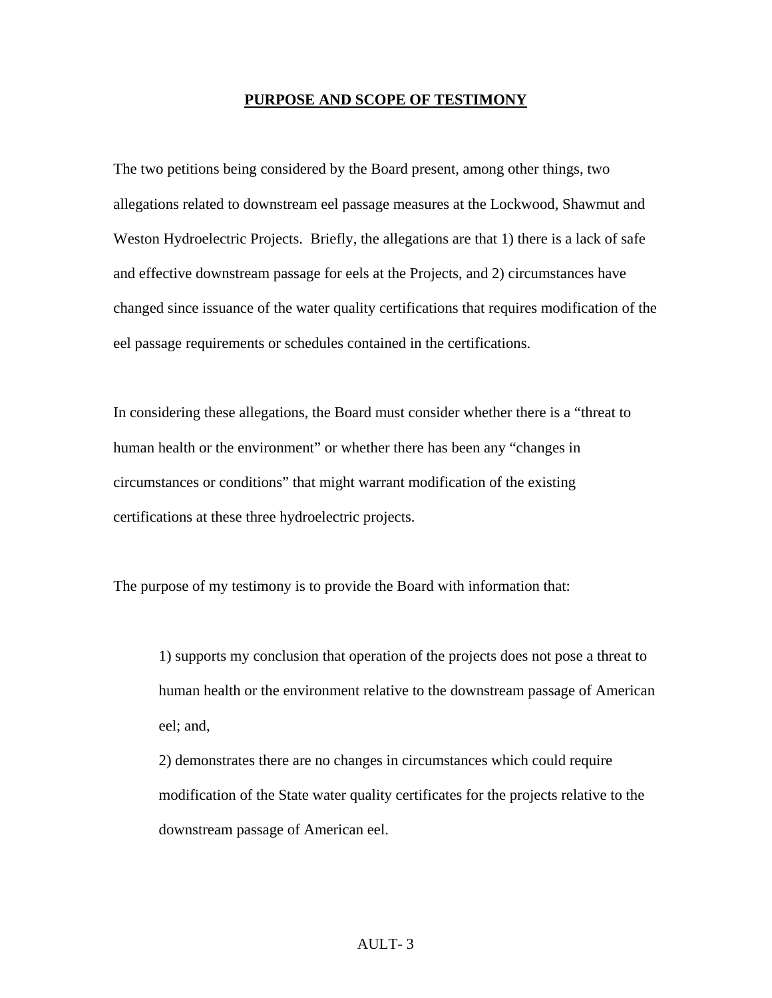#### **PURPOSE AND SCOPE OF TESTIMONY**

The two petitions being considered by the Board present, among other things, two allegations related to downstream eel passage measures at the Lockwood, Shawmut and Weston Hydroelectric Projects. Briefly, the allegations are that 1) there is a lack of safe and effective downstream passage for eels at the Projects, and 2) circumstances have changed since issuance of the water quality certifications that requires modification of the eel passage requirements or schedules contained in the certifications.

In considering these allegations, the Board must consider whether there is a "threat to human health or the environment" or whether there has been any "changes in circumstances or conditions" that might warrant modification of the existing certifications at these three hydroelectric projects.

The purpose of my testimony is to provide the Board with information that:

1) supports my conclusion that operation of the projects does not pose a threat to human health or the environment relative to the downstream passage of American eel; and,

2) demonstrates there are no changes in circumstances which could require modification of the State water quality certificates for the projects relative to the downstream passage of American eel.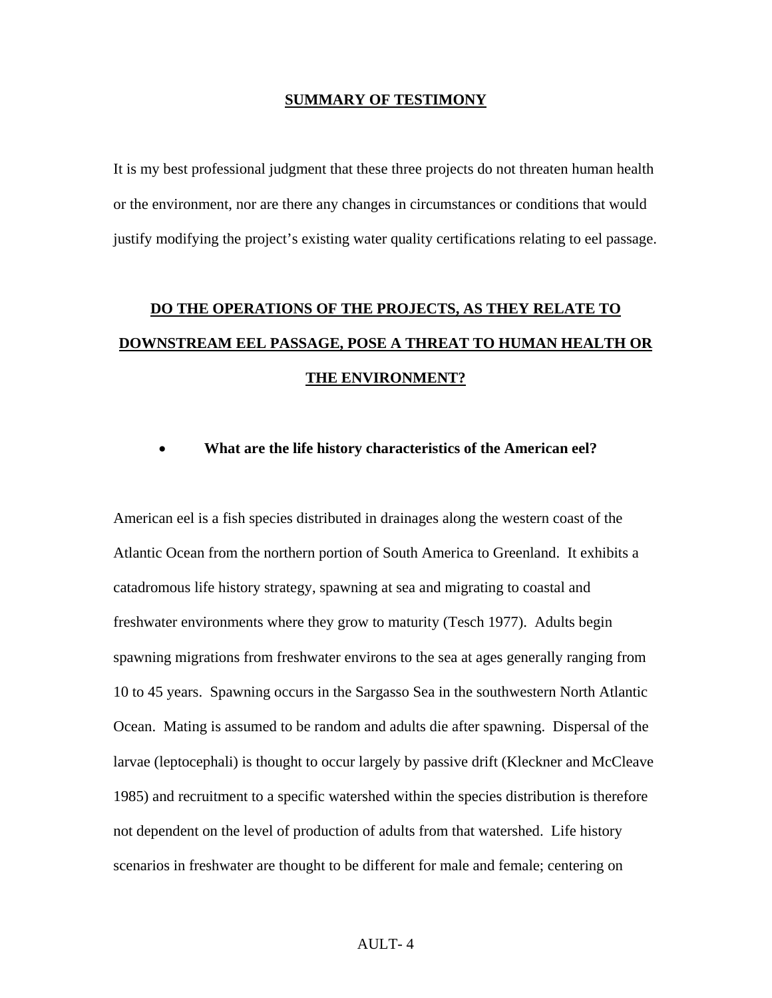#### **SUMMARY OF TESTIMONY**

It is my best professional judgment that these three projects do not threaten human health or the environment, nor are there any changes in circumstances or conditions that would justify modifying the project's existing water quality certifications relating to eel passage.

# **DO THE OPERATIONS OF THE PROJECTS, AS THEY RELATE TO DOWNSTREAM EEL PASSAGE, POSE A THREAT TO HUMAN HEALTH OR THE ENVIRONMENT?**

#### • **What are the life history characteristics of the American eel?**

American eel is a fish species distributed in drainages along the western coast of the Atlantic Ocean from the northern portion of South America to Greenland. It exhibits a catadromous life history strategy, spawning at sea and migrating to coastal and freshwater environments where they grow to maturity (Tesch 1977). Adults begin spawning migrations from freshwater environs to the sea at ages generally ranging from 10 to 45 years. Spawning occurs in the Sargasso Sea in the southwestern North Atlantic Ocean. Mating is assumed to be random and adults die after spawning. Dispersal of the larvae (leptocephali) is thought to occur largely by passive drift (Kleckner and McCleave 1985) and recruitment to a specific watershed within the species distribution is therefore not dependent on the level of production of adults from that watershed. Life history scenarios in freshwater are thought to be different for male and female; centering on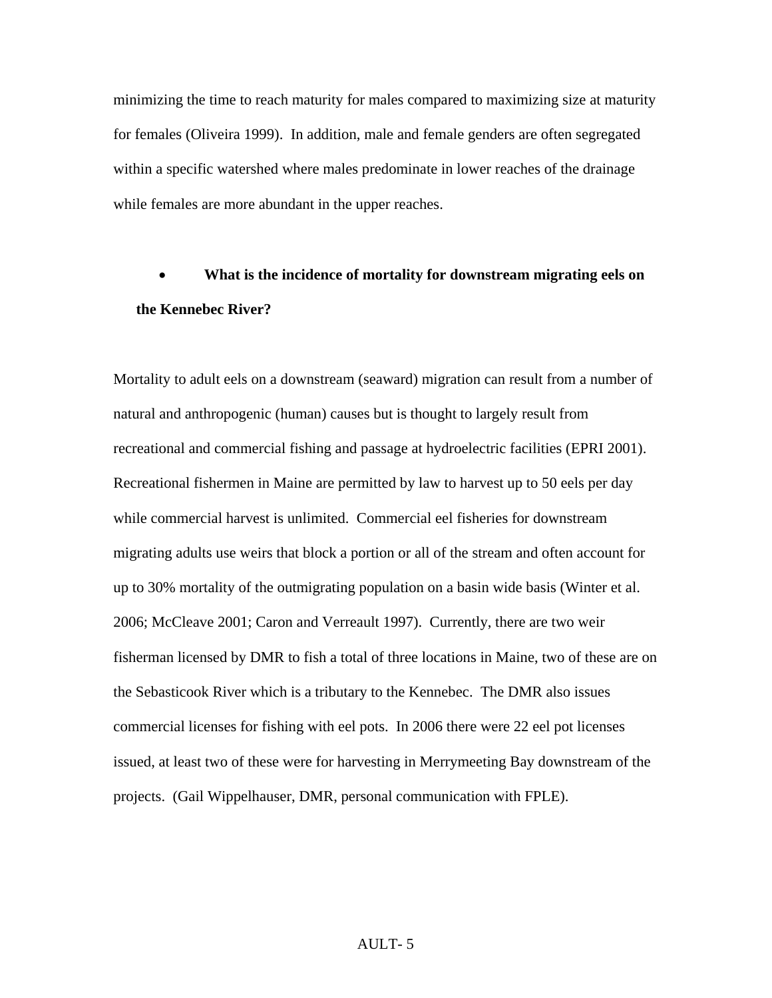minimizing the time to reach maturity for males compared to maximizing size at maturity for females (Oliveira 1999). In addition, male and female genders are often segregated within a specific watershed where males predominate in lower reaches of the drainage while females are more abundant in the upper reaches.

# • **What is the incidence of mortality for downstream migrating eels on the Kennebec River?**

Mortality to adult eels on a downstream (seaward) migration can result from a number of natural and anthropogenic (human) causes but is thought to largely result from recreational and commercial fishing and passage at hydroelectric facilities (EPRI 2001). Recreational fishermen in Maine are permitted by law to harvest up to 50 eels per day while commercial harvest is unlimited. Commercial eel fisheries for downstream migrating adults use weirs that block a portion or all of the stream and often account for up to 30% mortality of the outmigrating population on a basin wide basis (Winter et al. 2006; McCleave 2001; Caron and Verreault 1997). Currently, there are two weir fisherman licensed by DMR to fish a total of three locations in Maine, two of these are on the Sebasticook River which is a tributary to the Kennebec. The DMR also issues commercial licenses for fishing with eel pots. In 2006 there were 22 eel pot licenses issued, at least two of these were for harvesting in Merrymeeting Bay downstream of the projects. (Gail Wippelhauser, DMR, personal communication with FPLE).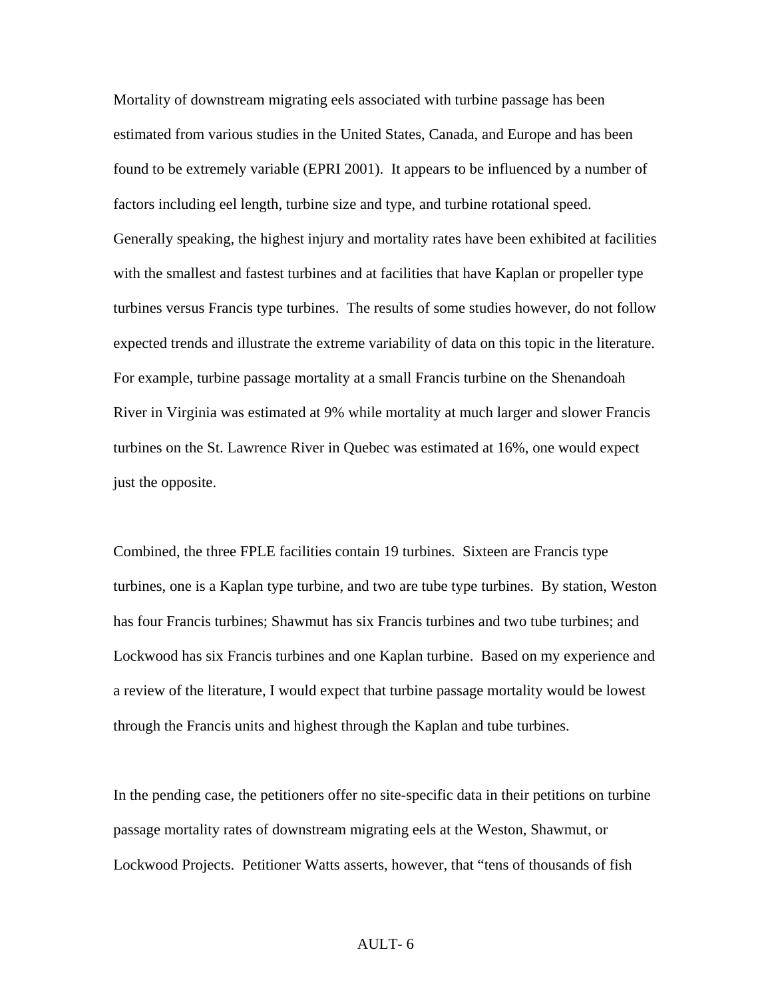Mortality of downstream migrating eels associated with turbine passage has been estimated from various studies in the United States, Canada, and Europe and has been found to be extremely variable (EPRI 2001). It appears to be influenced by a number of factors including eel length, turbine size and type, and turbine rotational speed. Generally speaking, the highest injury and mortality rates have been exhibited at facilities with the smallest and fastest turbines and at facilities that have Kaplan or propeller type turbines versus Francis type turbines. The results of some studies however, do not follow expected trends and illustrate the extreme variability of data on this topic in the literature. For example, turbine passage mortality at a small Francis turbine on the Shenandoah River in Virginia was estimated at 9% while mortality at much larger and slower Francis turbines on the St. Lawrence River in Quebec was estimated at 16%, one would expect just the opposite.

Combined, the three FPLE facilities contain 19 turbines. Sixteen are Francis type turbines, one is a Kaplan type turbine, and two are tube type turbines. By station, Weston has four Francis turbines; Shawmut has six Francis turbines and two tube turbines; and Lockwood has six Francis turbines and one Kaplan turbine. Based on my experience and a review of the literature, I would expect that turbine passage mortality would be lowest through the Francis units and highest through the Kaplan and tube turbines.

In the pending case, the petitioners offer no site-specific data in their petitions on turbine passage mortality rates of downstream migrating eels at the Weston, Shawmut, or Lockwood Projects. Petitioner Watts asserts, however, that "tens of thousands of fish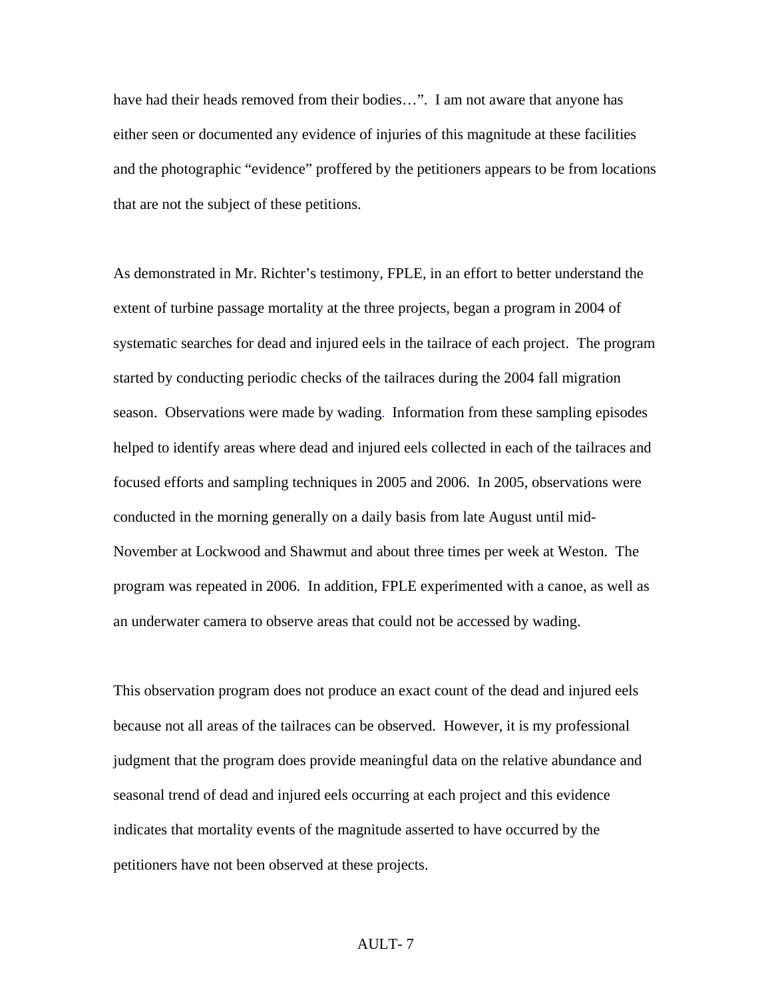have had their heads removed from their bodies...". I am not aware that anyone has either seen or documented any evidence of injuries of this magnitude at these facilities and the photographic "evidence" proffered by the petitioners appears to be from locations that are not the subject of these petitions.

As demonstrated in Mr. Richter's testimony, FPLE, in an effort to better understand the extent of turbine passage mortality at the three projects, began a program in 2004 of systematic searches for dead and injured eels in the tailrace of each project. The program started by conducting periodic checks of the tailraces during the 2004 fall migration season. Observations were made by wading. Information from these sampling episodes helped to identify areas where dead and injured eels collected in each of the tailraces and focused efforts and sampling techniques in 2005 and 2006. In 2005, observations were conducted in the morning generally on a daily basis from late August until mid-November at Lockwood and Shawmut and about three times per week at Weston. The program was repeated in 2006. In addition, FPLE experimented with a canoe, as well as an underwater camera to observe areas that could not be accessed by wading.

This observation program does not produce an exact count of the dead and injured eels because not all areas of the tailraces can be observed. However, it is my professional judgment that the program does provide meaningful data on the relative abundance and seasonal trend of dead and injured eels occurring at each project and this evidence indicates that mortality events of the magnitude asserted to have occurred by the petitioners have not been observed at these projects.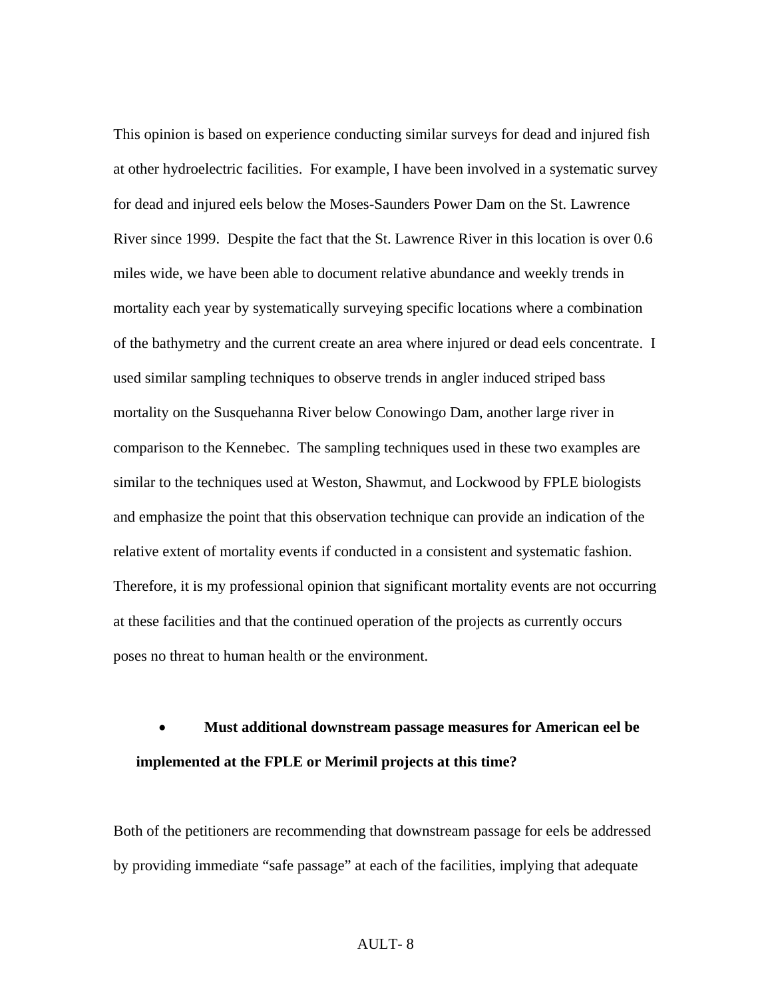This opinion is based on experience conducting similar surveys for dead and injured fish at other hydroelectric facilities. For example, I have been involved in a systematic survey for dead and injured eels below the Moses-Saunders Power Dam on the St. Lawrence River since 1999. Despite the fact that the St. Lawrence River in this location is over 0.6 miles wide, we have been able to document relative abundance and weekly trends in mortality each year by systematically surveying specific locations where a combination of the bathymetry and the current create an area where injured or dead eels concentrate. I used similar sampling techniques to observe trends in angler induced striped bass mortality on the Susquehanna River below Conowingo Dam, another large river in comparison to the Kennebec. The sampling techniques used in these two examples are similar to the techniques used at Weston, Shawmut, and Lockwood by FPLE biologists and emphasize the point that this observation technique can provide an indication of the relative extent of mortality events if conducted in a consistent and systematic fashion. Therefore, it is my professional opinion that significant mortality events are not occurring at these facilities and that the continued operation of the projects as currently occurs poses no threat to human health or the environment.

# • **Must additional downstream passage measures for American eel be implemented at the FPLE or Merimil projects at this time?**

Both of the petitioners are recommending that downstream passage for eels be addressed by providing immediate "safe passage" at each of the facilities, implying that adequate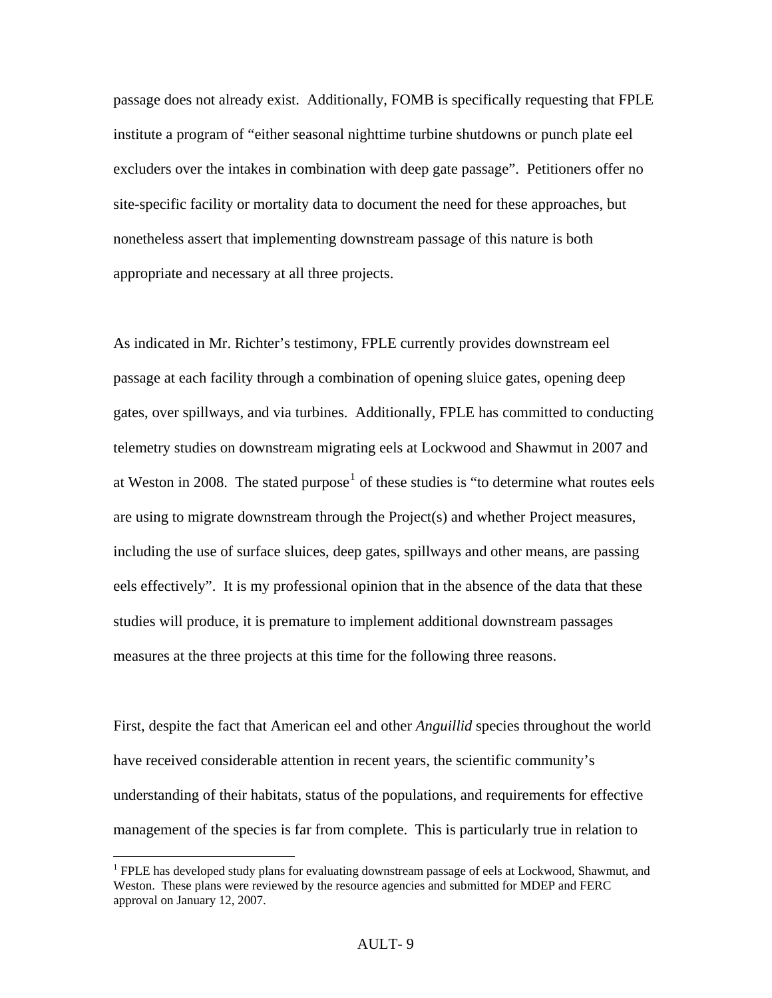passage does not already exist. Additionally, FOMB is specifically requesting that FPLE institute a program of "either seasonal nighttime turbine shutdowns or punch plate eel excluders over the intakes in combination with deep gate passage". Petitioners offer no site-specific facility or mortality data to document the need for these approaches, but nonetheless assert that implementing downstream passage of this nature is both appropriate and necessary at all three projects.

As indicated in Mr. Richter's testimony, FPLE currently provides downstream eel passage at each facility through a combination of opening sluice gates, opening deep gates, over spillways, and via turbines. Additionally, FPLE has committed to conducting telemetry studies on downstream migrating eels at Lockwood and Shawmut in 2007 and at Weston in 2008. The stated purpose<sup>[1](#page-10-0)</sup> of these studies is "to determine what routes eels are using to migrate downstream through the Project(s) and whether Project measures, including the use of surface sluices, deep gates, spillways and other means, are passing eels effectively". It is my professional opinion that in the absence of the data that these studies will produce, it is premature to implement additional downstream passages measures at the three projects at this time for the following three reasons.

First, despite the fact that American eel and other *Anguillid* species throughout the world have received considerable attention in recent years, the scientific community's understanding of their habitats, status of the populations, and requirements for effective management of the species is far from complete. This is particularly true in relation to

 $\overline{a}$ 

<span id="page-10-0"></span><sup>&</sup>lt;sup>1</sup> FPLE has developed study plans for evaluating downstream passage of eels at Lockwood, Shawmut, and Weston. These plans were reviewed by the resource agencies and submitted for MDEP and FERC approval on January 12, 2007.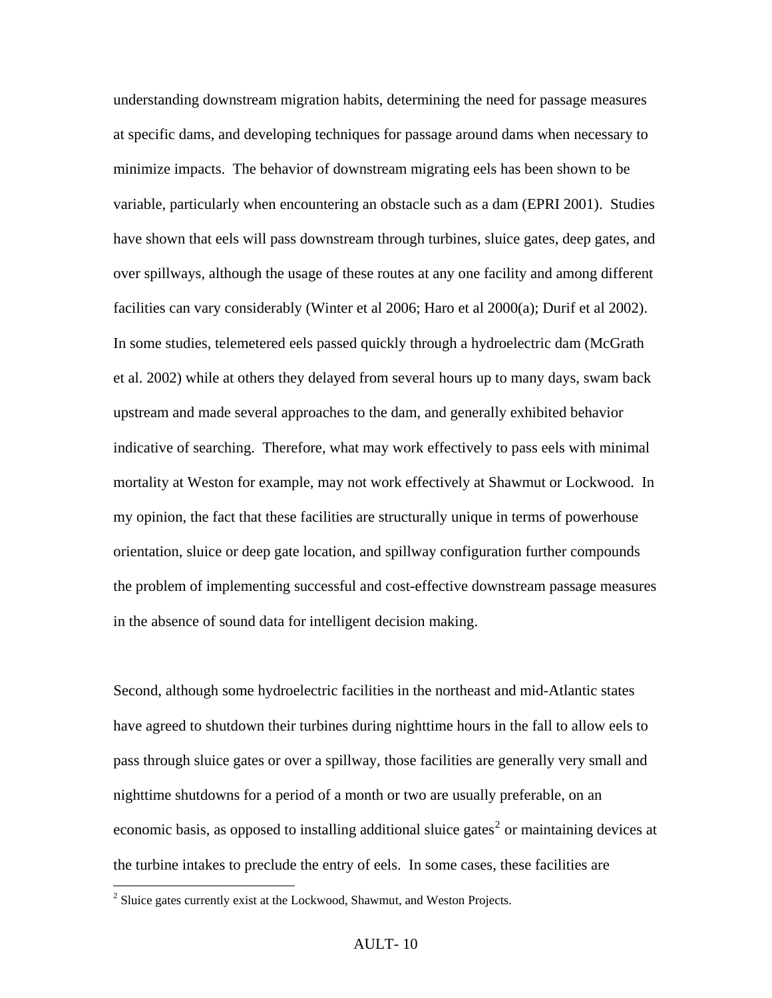understanding downstream migration habits, determining the need for passage measures at specific dams, and developing techniques for passage around dams when necessary to minimize impacts. The behavior of downstream migrating eels has been shown to be variable, particularly when encountering an obstacle such as a dam (EPRI 2001). Studies have shown that eels will pass downstream through turbines, sluice gates, deep gates, and over spillways, although the usage of these routes at any one facility and among different facilities can vary considerably (Winter et al 2006; Haro et al 2000(a); Durif et al 2002). In some studies, telemetered eels passed quickly through a hydroelectric dam (McGrath et al. 2002) while at others they delayed from several hours up to many days, swam back upstream and made several approaches to the dam, and generally exhibited behavior indicative of searching. Therefore, what may work effectively to pass eels with minimal mortality at Weston for example, may not work effectively at Shawmut or Lockwood. In my opinion, the fact that these facilities are structurally unique in terms of powerhouse orientation, sluice or deep gate location, and spillway configuration further compounds the problem of implementing successful and cost-effective downstream passage measures in the absence of sound data for intelligent decision making.

Second, although some hydroelectric facilities in the northeast and mid-Atlantic states have agreed to shutdown their turbines during nighttime hours in the fall to allow eels to pass through sluice gates or over a spillway, those facilities are generally very small and nighttime shutdowns for a period of a month or two are usually preferable, on an economic basis, as opposed to installing additional sluice gates<sup>[2](#page-11-0)</sup> or maintaining devices at the turbine intakes to preclude the entry of eels. In some cases, these facilities are

 $\overline{a}$ 

<span id="page-11-0"></span> $2^2$  Sluice gates currently exist at the Lockwood, Shawmut, and Weston Projects.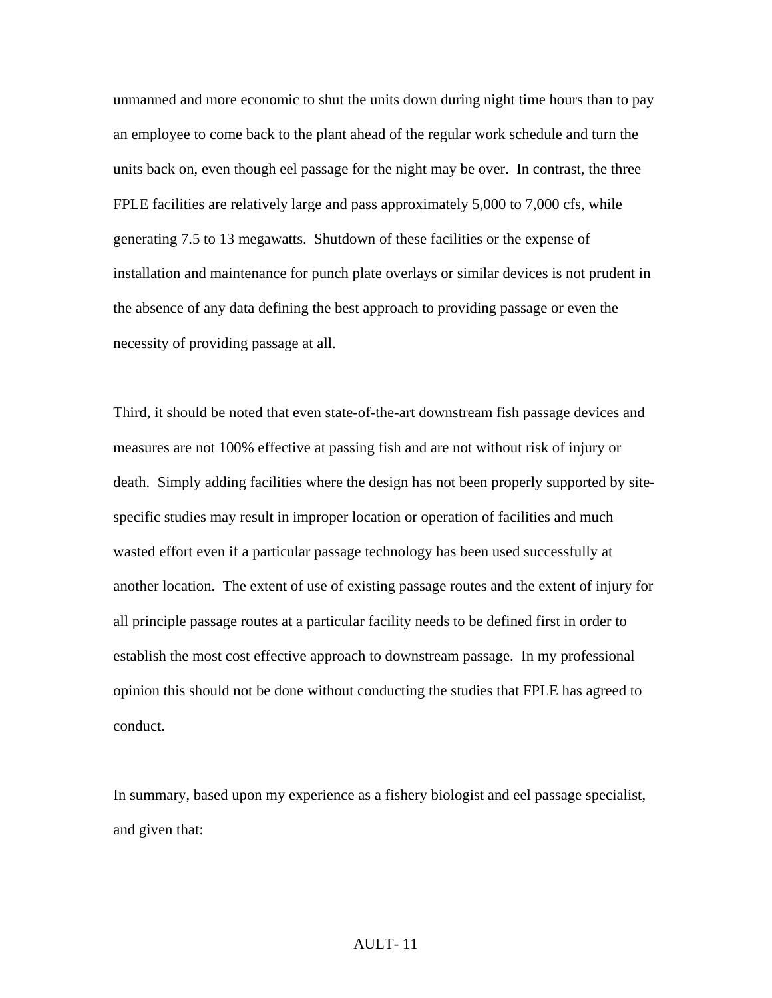unmanned and more economic to shut the units down during night time hours than to pay an employee to come back to the plant ahead of the regular work schedule and turn the units back on, even though eel passage for the night may be over. In contrast, the three FPLE facilities are relatively large and pass approximately 5,000 to 7,000 cfs, while generating 7.5 to 13 megawatts. Shutdown of these facilities or the expense of installation and maintenance for punch plate overlays or similar devices is not prudent in the absence of any data defining the best approach to providing passage or even the necessity of providing passage at all.

Third, it should be noted that even state-of-the-art downstream fish passage devices and measures are not 100% effective at passing fish and are not without risk of injury or death. Simply adding facilities where the design has not been properly supported by sitespecific studies may result in improper location or operation of facilities and much wasted effort even if a particular passage technology has been used successfully at another location. The extent of use of existing passage routes and the extent of injury for all principle passage routes at a particular facility needs to be defined first in order to establish the most cost effective approach to downstream passage. In my professional opinion this should not be done without conducting the studies that FPLE has agreed to conduct.

In summary, based upon my experience as a fishery biologist and eel passage specialist, and given that: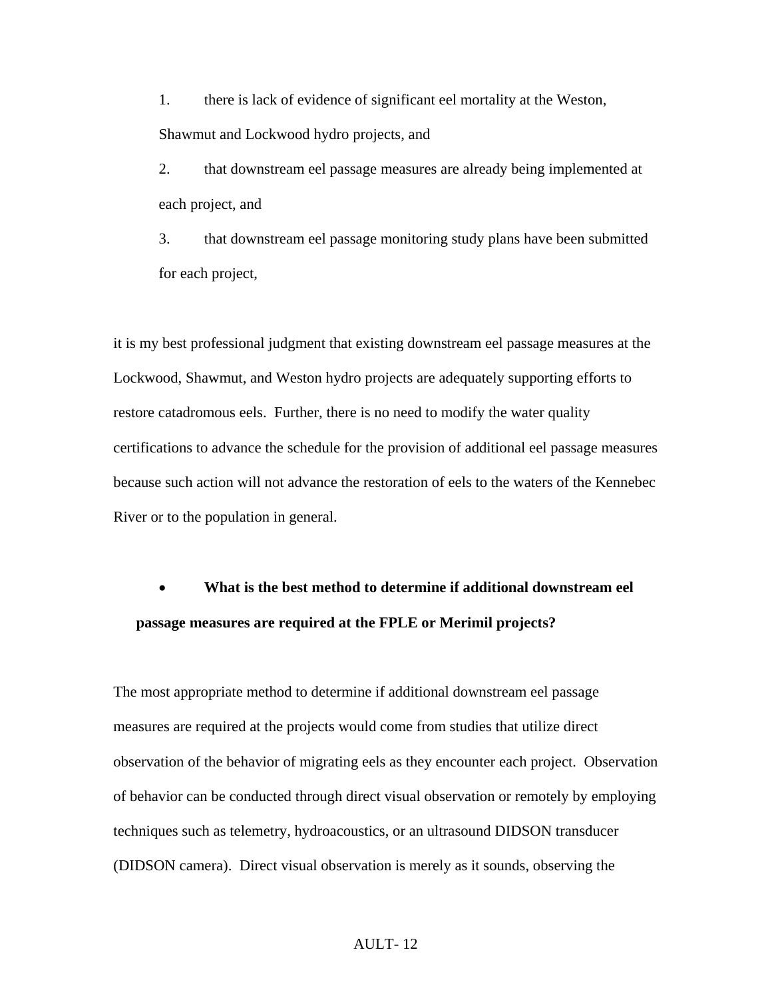1. there is lack of evidence of significant eel mortality at the Weston, Shawmut and Lockwood hydro projects, and

2. that downstream eel passage measures are already being implemented at each project, and

3. that downstream eel passage monitoring study plans have been submitted for each project,

it is my best professional judgment that existing downstream eel passage measures at the Lockwood, Shawmut, and Weston hydro projects are adequately supporting efforts to restore catadromous eels. Further, there is no need to modify the water quality certifications to advance the schedule for the provision of additional eel passage measures because such action will not advance the restoration of eels to the waters of the Kennebec River or to the population in general.

• **What is the best method to determine if additional downstream eel passage measures are required at the FPLE or Merimil projects?**

The most appropriate method to determine if additional downstream eel passage measures are required at the projects would come from studies that utilize direct observation of the behavior of migrating eels as they encounter each project. Observation of behavior can be conducted through direct visual observation or remotely by employing techniques such as telemetry, hydroacoustics, or an ultrasound DIDSON transducer (DIDSON camera). Direct visual observation is merely as it sounds, observing the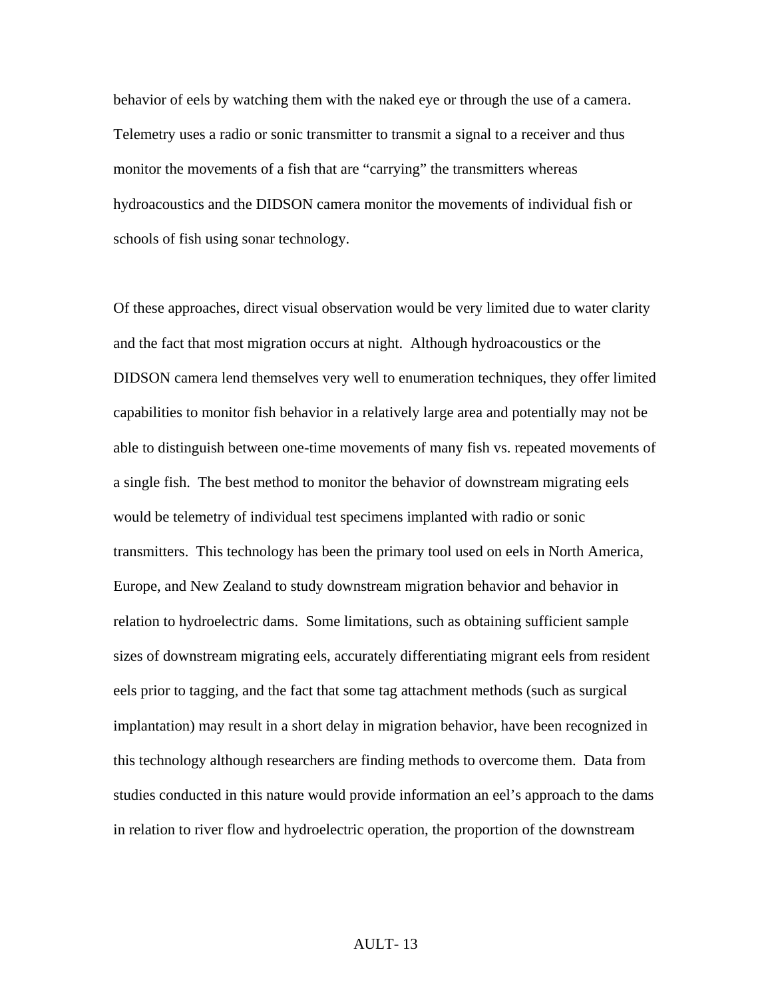behavior of eels by watching them with the naked eye or through the use of a camera. Telemetry uses a radio or sonic transmitter to transmit a signal to a receiver and thus monitor the movements of a fish that are "carrying" the transmitters whereas hydroacoustics and the DIDSON camera monitor the movements of individual fish or schools of fish using sonar technology.

Of these approaches, direct visual observation would be very limited due to water clarity and the fact that most migration occurs at night. Although hydroacoustics or the DIDSON camera lend themselves very well to enumeration techniques, they offer limited capabilities to monitor fish behavior in a relatively large area and potentially may not be able to distinguish between one-time movements of many fish vs. repeated movements of a single fish. The best method to monitor the behavior of downstream migrating eels would be telemetry of individual test specimens implanted with radio or sonic transmitters. This technology has been the primary tool used on eels in North America, Europe, and New Zealand to study downstream migration behavior and behavior in relation to hydroelectric dams. Some limitations, such as obtaining sufficient sample sizes of downstream migrating eels, accurately differentiating migrant eels from resident eels prior to tagging, and the fact that some tag attachment methods (such as surgical implantation) may result in a short delay in migration behavior, have been recognized in this technology although researchers are finding methods to overcome them. Data from studies conducted in this nature would provide information an eel's approach to the dams in relation to river flow and hydroelectric operation, the proportion of the downstream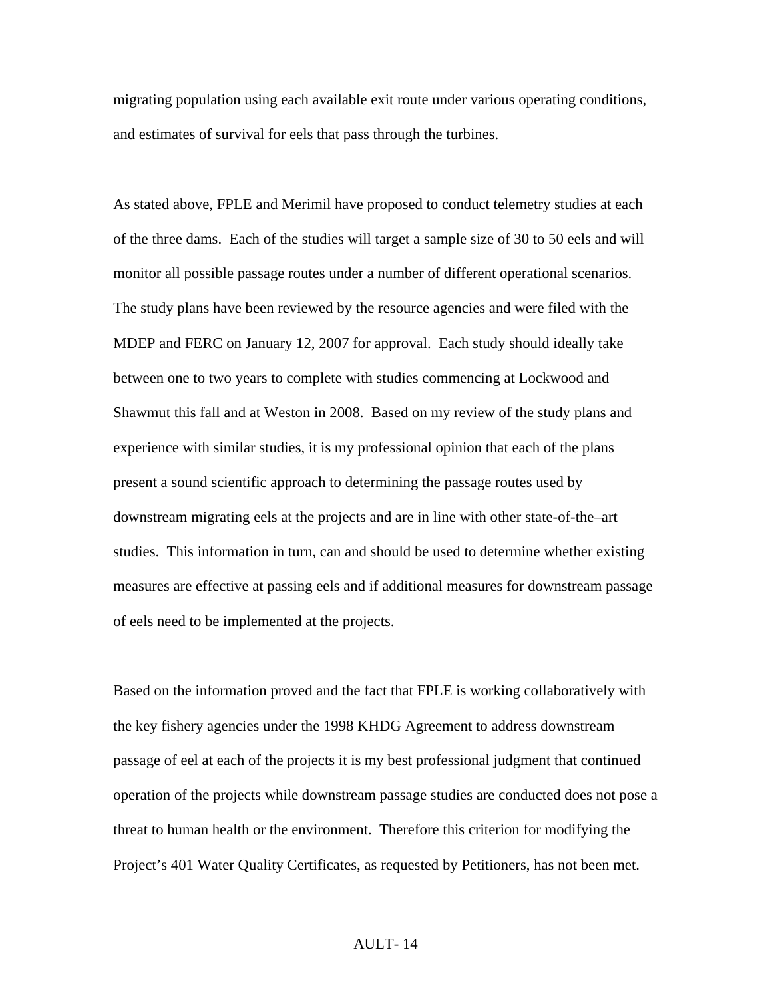migrating population using each available exit route under various operating conditions, and estimates of survival for eels that pass through the turbines.

As stated above, FPLE and Merimil have proposed to conduct telemetry studies at each of the three dams. Each of the studies will target a sample size of 30 to 50 eels and will monitor all possible passage routes under a number of different operational scenarios. The study plans have been reviewed by the resource agencies and were filed with the MDEP and FERC on January 12, 2007 for approval. Each study should ideally take between one to two years to complete with studies commencing at Lockwood and Shawmut this fall and at Weston in 2008. Based on my review of the study plans and experience with similar studies, it is my professional opinion that each of the plans present a sound scientific approach to determining the passage routes used by downstream migrating eels at the projects and are in line with other state-of-the–art studies. This information in turn, can and should be used to determine whether existing measures are effective at passing eels and if additional measures for downstream passage of eels need to be implemented at the projects.

Based on the information proved and the fact that FPLE is working collaboratively with the key fishery agencies under the 1998 KHDG Agreement to address downstream passage of eel at each of the projects it is my best professional judgment that continued operation of the projects while downstream passage studies are conducted does not pose a threat to human health or the environment. Therefore this criterion for modifying the Project's 401 Water Quality Certificates, as requested by Petitioners, has not been met.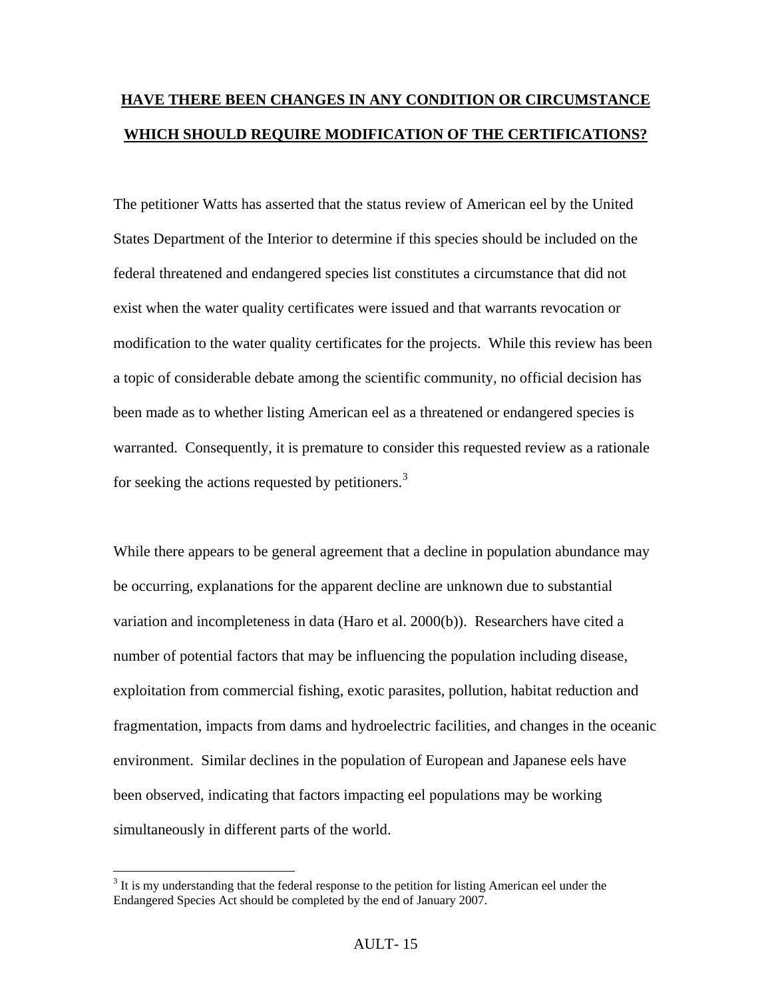# **HAVE THERE BEEN CHANGES IN ANY CONDITION OR CIRCUMSTANCE WHICH SHOULD REQUIRE MODIFICATION OF THE CERTIFICATIONS?**

The petitioner Watts has asserted that the status review of American eel by the United States Department of the Interior to determine if this species should be included on the federal threatened and endangered species list constitutes a circumstance that did not exist when the water quality certificates were issued and that warrants revocation or modification to the water quality certificates for the projects. While this review has been a topic of considerable debate among the scientific community, no official decision has been made as to whether listing American eel as a threatened or endangered species is warranted. Consequently, it is premature to consider this requested review as a rationale for seeking the actions requested by petitioners. $3$ 

While there appears to be general agreement that a decline in population abundance may be occurring, explanations for the apparent decline are unknown due to substantial variation and incompleteness in data (Haro et al. 2000(b)). Researchers have cited a number of potential factors that may be influencing the population including disease, exploitation from commercial fishing, exotic parasites, pollution, habitat reduction and fragmentation, impacts from dams and hydroelectric facilities, and changes in the oceanic environment. Similar declines in the population of European and Japanese eels have been observed, indicating that factors impacting eel populations may be working simultaneously in different parts of the world.

<span id="page-16-0"></span><sup>&</sup>lt;sup>3</sup> It is my understanding that the federal response to the petition for listing American eel under the Endangered Species Act should be completed by the end of January 2007.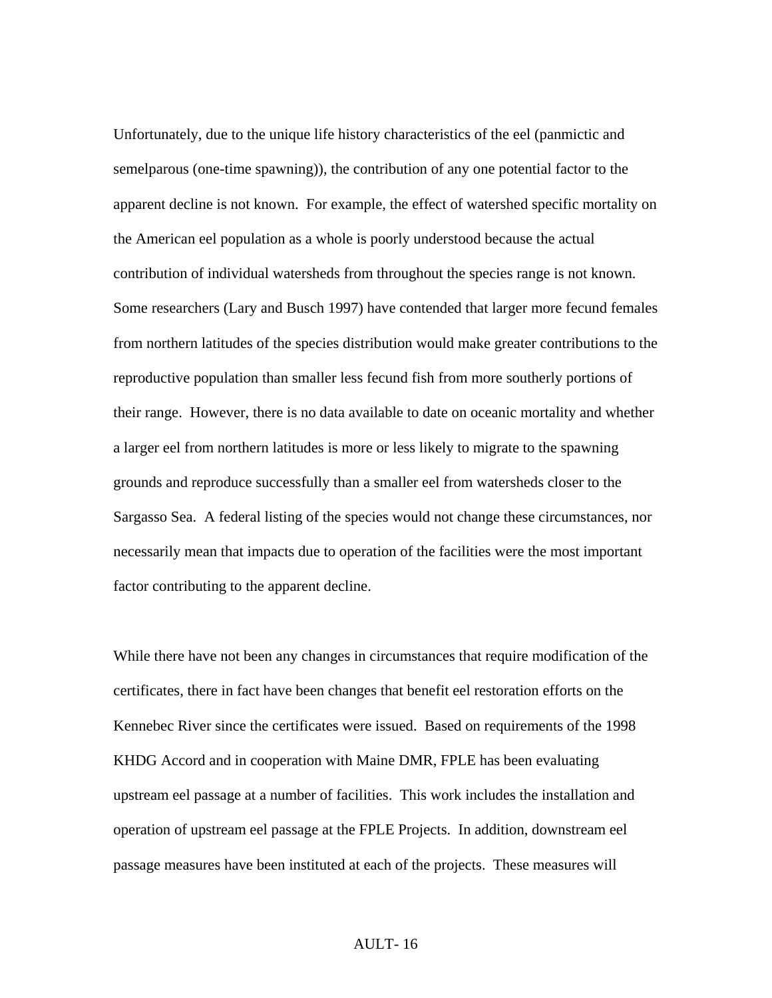Unfortunately, due to the unique life history characteristics of the eel (panmictic and semelparous (one-time spawning)), the contribution of any one potential factor to the apparent decline is not known. For example, the effect of watershed specific mortality on the American eel population as a whole is poorly understood because the actual contribution of individual watersheds from throughout the species range is not known. Some researchers (Lary and Busch 1997) have contended that larger more fecund females from northern latitudes of the species distribution would make greater contributions to the reproductive population than smaller less fecund fish from more southerly portions of their range. However, there is no data available to date on oceanic mortality and whether a larger eel from northern latitudes is more or less likely to migrate to the spawning grounds and reproduce successfully than a smaller eel from watersheds closer to the Sargasso Sea. A federal listing of the species would not change these circumstances, nor necessarily mean that impacts due to operation of the facilities were the most important factor contributing to the apparent decline.

While there have not been any changes in circumstances that require modification of the certificates, there in fact have been changes that benefit eel restoration efforts on the Kennebec River since the certificates were issued. Based on requirements of the 1998 KHDG Accord and in cooperation with Maine DMR, FPLE has been evaluating upstream eel passage at a number of facilities. This work includes the installation and operation of upstream eel passage at the FPLE Projects. In addition, downstream eel passage measures have been instituted at each of the projects. These measures will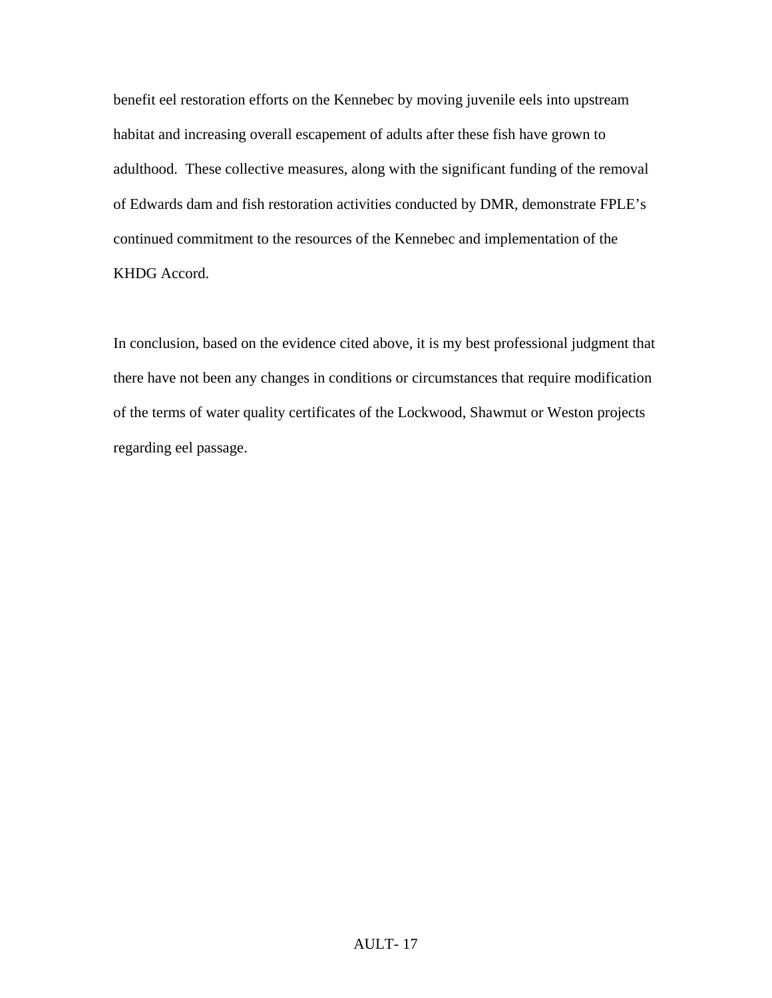benefit eel restoration efforts on the Kennebec by moving juvenile eels into upstream habitat and increasing overall escapement of adults after these fish have grown to adulthood. These collective measures, along with the significant funding of the removal of Edwards dam and fish restoration activities conducted by DMR, demonstrate FPLE's continued commitment to the resources of the Kennebec and implementation of the KHDG Accord.

In conclusion, based on the evidence cited above, it is my best professional judgment that there have not been any changes in conditions or circumstances that require modification of the terms of water quality certificates of the Lockwood, Shawmut or Weston projects regarding eel passage.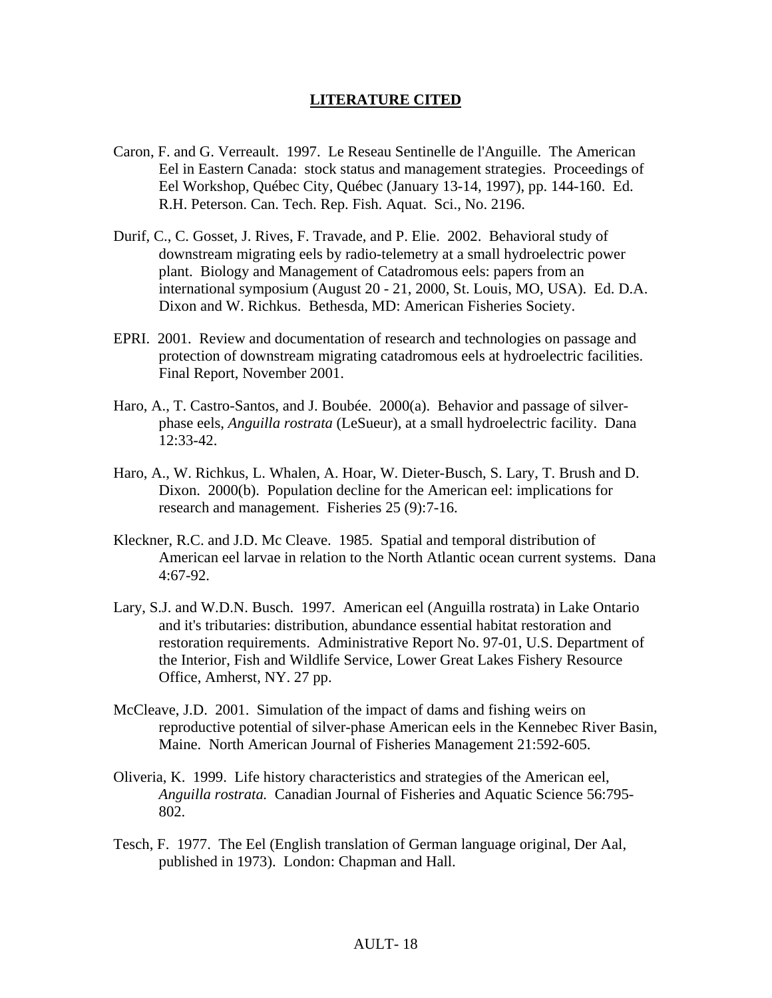### **LITERATURE CITED**

- Caron, F. and G. Verreault. 1997. Le Reseau Sentinelle de l'Anguille. The American Eel in Eastern Canada: stock status and management strategies. Proceedings of Eel Workshop, Québec City, Québec (January 13-14, 1997), pp. 144-160. Ed. R.H. Peterson. Can. Tech. Rep. Fish. Aquat. Sci., No. 2196.
- Durif, C., C. Gosset, J. Rives, F. Travade, and P. Elie. 2002. Behavioral study of downstream migrating eels by radio-telemetry at a small hydroelectric power plant. Biology and Management of Catadromous eels: papers from an international symposium (August 20 - 21, 2000, St. Louis, MO, USA). Ed. D.A. Dixon and W. Richkus. Bethesda, MD: American Fisheries Society.
- EPRI. 2001. Review and documentation of research and technologies on passage and protection of downstream migrating catadromous eels at hydroelectric facilities. Final Report, November 2001.
- Haro, A., T. Castro-Santos, and J. Boubée. 2000(a). Behavior and passage of silverphase eels, *Anguilla rostrata* (LeSueur), at a small hydroelectric facility. Dana 12:33-42.
- Haro, A., W. Richkus, L. Whalen, A. Hoar, W. Dieter-Busch, S. Lary, T. Brush and D. Dixon. 2000(b). Population decline for the American eel: implications for research and management. Fisheries 25 (9):7-16.
- Kleckner, R.C. and J.D. Mc Cleave. 1985. Spatial and temporal distribution of American eel larvae in relation to the North Atlantic ocean current systems. Dana 4:67-92.
- Lary, S.J. and W.D.N. Busch. 1997. American eel (Anguilla rostrata) in Lake Ontario and it's tributaries: distribution, abundance essential habitat restoration and restoration requirements. Administrative Report No. 97-01, U.S. Department of the Interior, Fish and Wildlife Service, Lower Great Lakes Fishery Resource Office, Amherst, NY. 27 pp.
- McCleave, J.D. 2001. Simulation of the impact of dams and fishing weirs on reproductive potential of silver-phase American eels in the Kennebec River Basin, Maine. North American Journal of Fisheries Management 21:592-605.
- Oliveria, K. 1999. Life history characteristics and strategies of the American eel, *Anguilla rostrata.* Canadian Journal of Fisheries and Aquatic Science 56:795- 802.
- Tesch, F. 1977. The Eel (English translation of German language original, Der Aal, published in 1973). London: Chapman and Hall.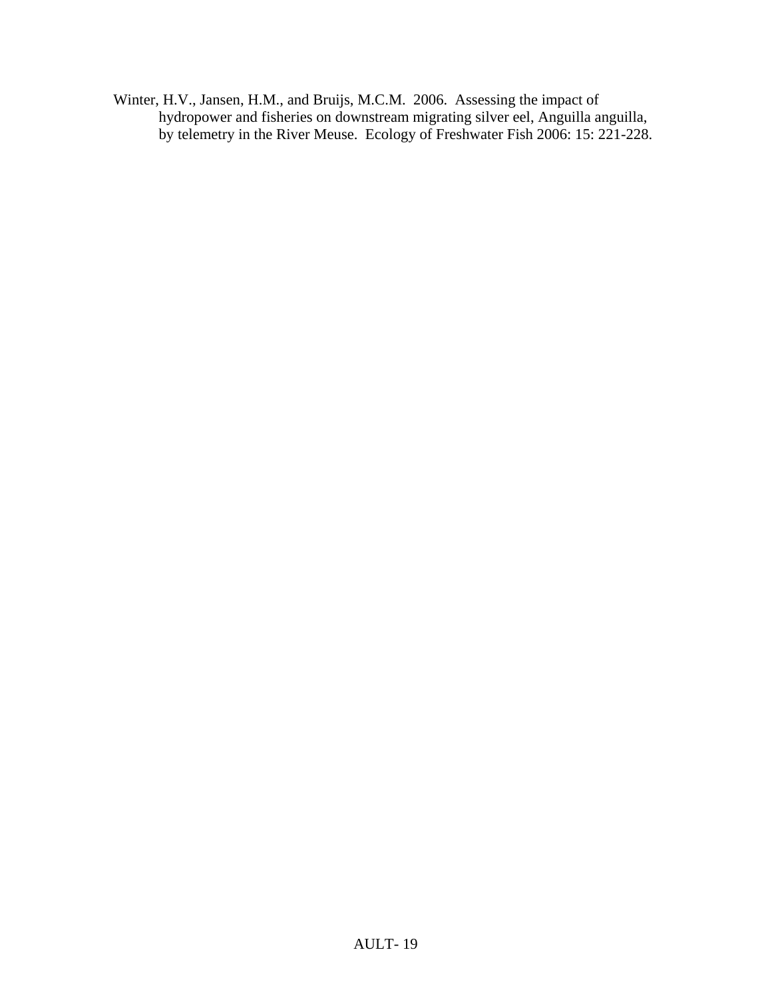Winter, H.V., Jansen, H.M., and Bruijs, M.C.M. 2006. Assessing the impact of hydropower and fisheries on downstream migrating silver eel, Anguilla anguilla, by telemetry in the River Meuse. Ecology of Freshwater Fish 2006: 15: 221-228.